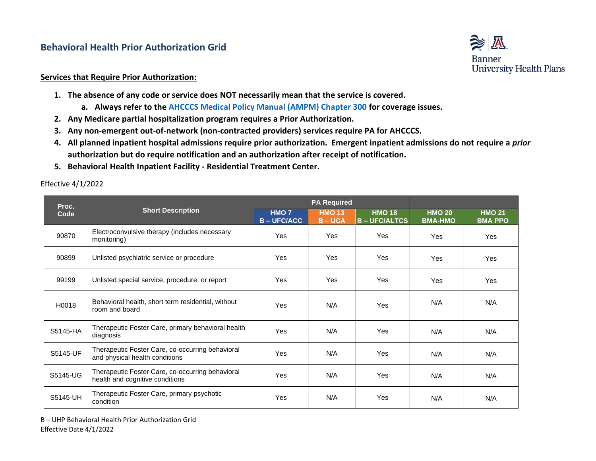## **Behavioral Health Prior Authorization Grid**



## **Services that Require Prior Authorization:**

- **1. The absence of any code or service does NOT necessarily mean that the service is covered.**
	- **a. Always refer to the [AHCCCS Medical Policy Manual \(AMPM\) Chapter 300](https://www.azahcccs.gov/shared/MedicalPolicyManual/) for coverage issues.**
- **2. Any Medicare partial hospitalization program requires a Prior Authorization.**
- **3. Any non-emergent out-of-network (non-contracted providers) services require PA for AHCCCS.**
- **4. All planned inpatient hospital admissions require prior authorization. Emergent inpatient admissions do not require a** *prior*  **authorization but do require notification and an authorization after receipt of notification.**
- **5. Behavioral Health Inpatient Facility - Residential Treatment Center.**

Effective 4/1/2022

| Proc.<br>Code | <b>Short Description</b>                                                            | <b>PA Required</b>                   |                            |                                     |                                 |                                 |
|---------------|-------------------------------------------------------------------------------------|--------------------------------------|----------------------------|-------------------------------------|---------------------------------|---------------------------------|
|               |                                                                                     | HMO <sub>7</sub><br><b>B-UFC/ACC</b> | <b>HMO 13</b><br>$B - UCA$ | <b>HMO 18</b><br><b>B-UFC/ALTCS</b> | <b>HMO 20</b><br><b>BMA-HMO</b> | <b>HMO 21</b><br><b>BMA PPO</b> |
| 90870         | Electroconvulsive therapy (includes necessary<br>monitoring)                        | Yes                                  | Yes                        | <b>Yes</b>                          | Yes                             | Yes                             |
| 90899         | Unlisted psychiatric service or procedure                                           | <b>Yes</b>                           | <b>Yes</b>                 | <b>Yes</b>                          | Yes                             | <b>Yes</b>                      |
| 99199         | Unlisted special service, procedure, or report                                      | Yes                                  | <b>Yes</b>                 | <b>Yes</b>                          | Yes                             | Yes                             |
| H0018         | Behavioral health, short term residential, without<br>room and board                | Yes                                  | N/A                        | <b>Yes</b>                          | N/A                             | N/A                             |
| S5145-HA      | Therapeutic Foster Care, primary behavioral health<br>diagnosis                     | Yes                                  | N/A                        | <b>Yes</b>                          | N/A                             | N/A                             |
| S5145-UF      | Therapeutic Foster Care, co-occurring behavioral<br>and physical health conditions  | Yes                                  | N/A                        | Yes                                 | N/A                             | N/A                             |
| S5145-UG      | Therapeutic Foster Care, co-occurring behavioral<br>health and cognitive conditions | Yes                                  | N/A                        | <b>Yes</b>                          | N/A                             | N/A                             |
| S5145-UH      | Therapeutic Foster Care, primary psychotic<br>condition                             | <b>Yes</b>                           | N/A                        | Yes                                 | N/A                             | N/A                             |

B – UHP Behavioral Health Prior Authorization Grid Effective Date 4/1/2022